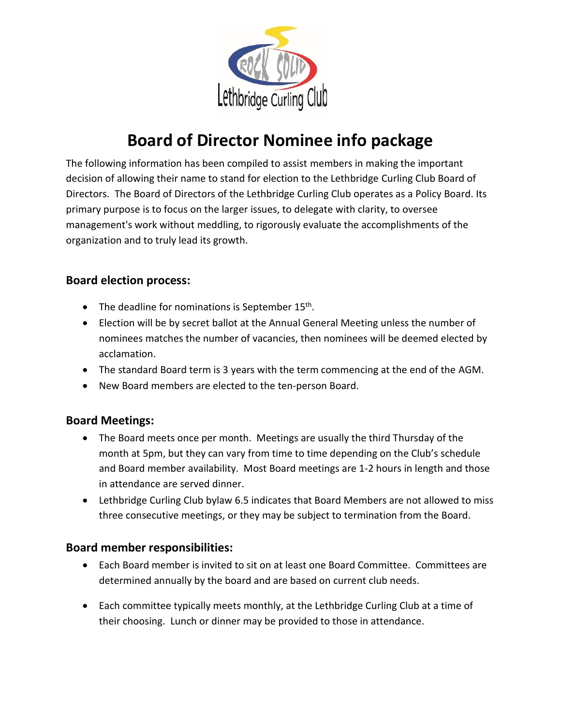

# **Board of Director Nominee info package**

The following information has been compiled to assist members in making the important decision of allowing their name to stand for election to the Lethbridge Curling Club Board of Directors. The Board of Directors of the Lethbridge Curling Club operates as a Policy Board. Its primary purpose is to focus on the larger issues, to delegate with clarity, to oversee management's work without meddling, to rigorously evaluate the accomplishments of the organization and to truly lead its growth.

## **Board election process:**

- The deadline for nominations is September 15<sup>th</sup>.
- Election will be by secret ballot at the Annual General Meeting unless the number of nominees matches the number of vacancies, then nominees will be deemed elected by acclamation.
- The standard Board term is 3 years with the term commencing at the end of the AGM.
- New Board members are elected to the ten-person Board.

#### **Board Meetings:**

- The Board meets once per month. Meetings are usually the third Thursday of the month at 5pm, but they can vary from time to time depending on the Club's schedule and Board member availability. Most Board meetings are 1-2 hours in length and those in attendance are served dinner.
- Lethbridge Curling Club bylaw 6.5 indicates that Board Members are not allowed to miss three consecutive meetings, or they may be subject to termination from the Board.

### **Board member responsibilities:**

- Each Board member is invited to sit on at least one Board Committee. Committees are determined annually by the board and are based on current club needs.
- Each committee typically meets monthly, at the Lethbridge Curling Club at a time of their choosing. Lunch or dinner may be provided to those in attendance.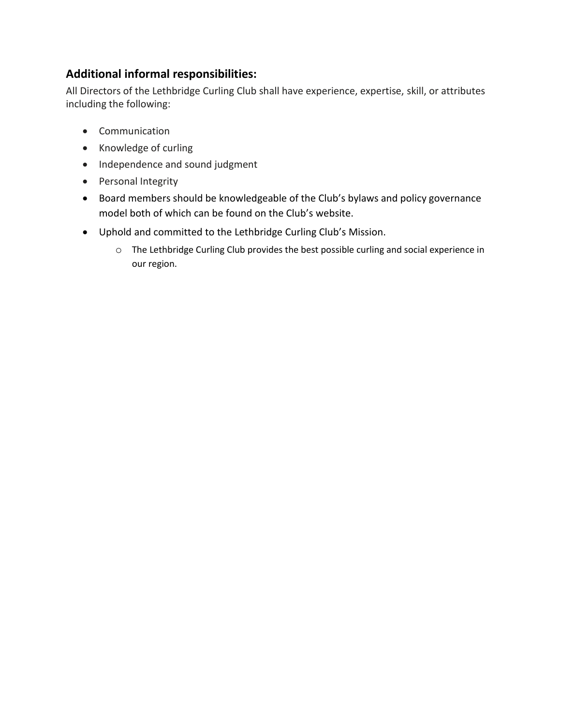## **Additional informal responsibilities:**

All Directors of the Lethbridge Curling Club shall have experience, expertise, skill, or attributes including the following:

- Communication
- Knowledge of curling
- Independence and sound judgment
- Personal Integrity
- Board members should be knowledgeable of the Club's bylaws and policy governance model both of which can be found on the Club's website.
- Uphold and committed to the Lethbridge Curling Club's Mission.
	- o The Lethbridge Curling Club provides the best possible curling and social experience in our region.